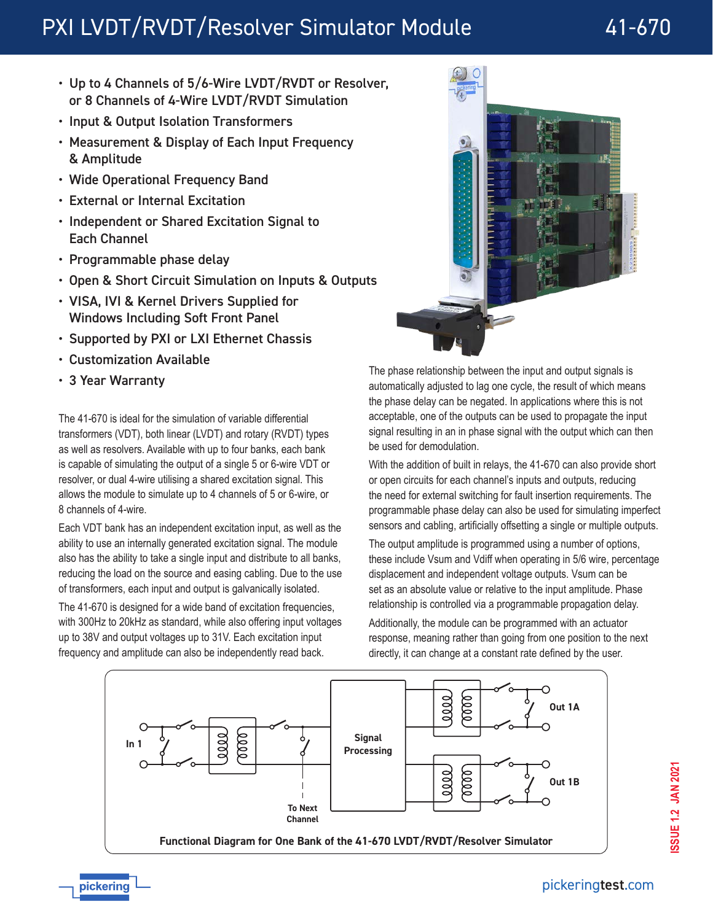# PXI LVDT/RVDT/Resolver Simulator Module 41-670

- Up to 4 Channels of 5/6-Wire LVDT/RVDT or Resolver, or 8 Channels of 4-Wire LVDT/RVDT Simulation
- Input & Output Isolation Transformers
- Measurement & Display of Each Input Frequency & Amplitude
- Wide Operational Frequency Band
- External or Internal Excitation
- Independent or Shared Excitation Signal to Each Channel
- Programmable phase delay
- Open & Short Circuit Simulation on Inputs & Outputs
- VISA, IVI & Kernel Drivers Supplied for Windows Including Soft Front Panel
- Supported by PXI or LXI Ethernet Chassis
- Customization Available
- 3 Year Warranty

The 41-670 is ideal for the simulation of variable differential transformers (VDT), both linear (LVDT) and rotary (RVDT) types as well as resolvers. Available with up to four banks, each bank is capable of simulating the output of a single 5 or 6-wire VDT or resolver, or dual 4-wire utilising a shared excitation signal. This allows the module to simulate up to 4 channels of 5 or 6-wire, or 8 channels of 4-wire.

Each VDT bank has an independent excitation input, as well as the ability to use an internally generated excitation signal. The module also has the ability to take a single input and distribute to all banks, reducing the load on the source and easing cabling. Due to the use of transformers, each input and output is galvanically isolated.

The 41-670 is designed for a wide band of excitation frequencies, with 300Hz to 20kHz as standard, while also offering input voltages up to 38V and output voltages up to 31V. Each excitation input frequency and amplitude can also be independently read back.



The phase relationship between the input and output signals is automatically adjusted to lag one cycle, the result of which means the phase delay can be negated. In applications where this is not acceptable, one of the outputs can be used to propagate the input signal resulting in an in phase signal with the output which can then be used for demodulation.

With the addition of built in relays, the 41-670 can also provide short or open circuits for each channel's inputs and outputs, reducing the need for external switching for fault insertion requirements. The programmable phase delay can also be used for simulating imperfect sensors and cabling, artificially offsetting a single or multiple outputs.

The output amplitude is programmed using a number of options, these include Vsum and Vdiff when operating in 5/6 wire, percentage displacement and independent voltage outputs. Vsum can be set as an absolute value or relative to the input amplitude. Phase relationship is controlled via a programmable propagation delay.

Additionally, the module can be programmed with an actuator response, meaning rather than going from one position to the next directly, it can change at a constant rate defined by the user.



pickering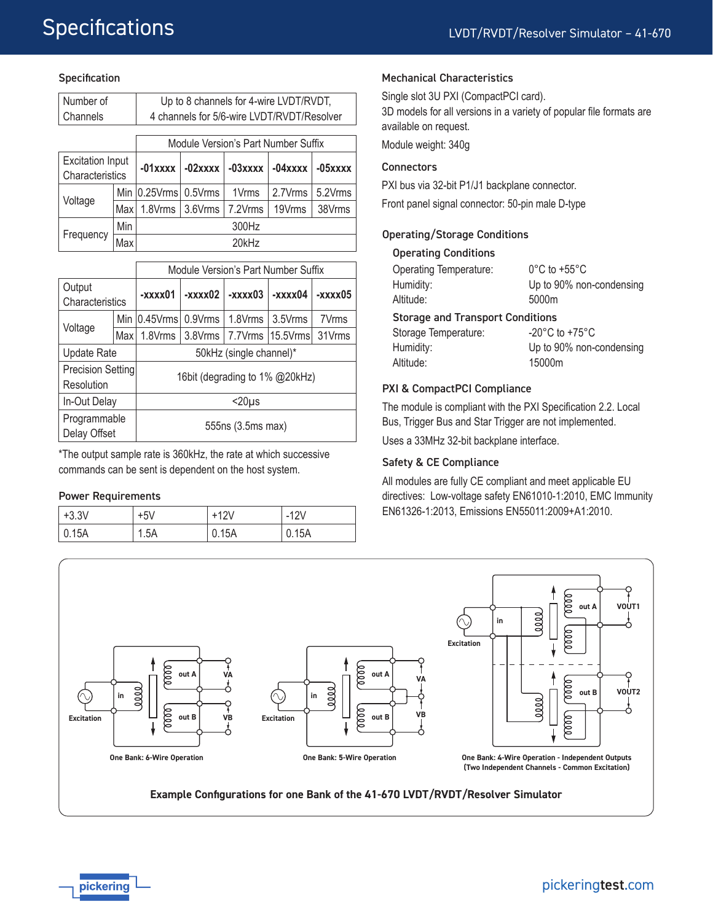#### **Specification**

| Number of               |      | Up to 8 channels for 4-wire LVDT/RVDT,     |            |                   |            |             |
|-------------------------|------|--------------------------------------------|------------|-------------------|------------|-------------|
| Channels                |      | 4 channels for 5/6-wire LVDT/RVDT/Resolver |            |                   |            |             |
|                         |      |                                            |            |                   |            |             |
|                         |      | Module Version's Part Number Suffix        |            |                   |            |             |
| <b>Excitation Input</b> |      | $-01$ xxxx                                 | $-02$ xxxx | $-03$ xxxx        | $-04$ xxxx | $-05$ $xxx$ |
| Characteristics         |      |                                            |            |                   |            |             |
| Voltage                 |      | Min $ 0.25V$ rms $ $                       | $0.5V$ rms | 1V <sub>rms</sub> | 2.7Vrms    | 5.2Vrms     |
|                         | Maxl | 1.8Vrms                                    | 3.6Vrms    | 7.2Vrms           | 19Vrms     | 38Vrms      |
| Frequency               | Min  | 300Hz                                      |            |                   |            |             |
|                         | Max  |                                            |            | 20kHz             |            |             |

|                    |     | Module Version's Part Number Suffix |           |           |                                        |         |  |
|--------------------|-----|-------------------------------------|-----------|-----------|----------------------------------------|---------|--|
| Output             |     | -xxxx01                             | $-xxxx02$ | $-xxxx03$ | -xxxx04                                | -xxxx05 |  |
| Characteristics    |     |                                     |           |           |                                        |         |  |
|                    | Min | $ 0.45V$ rms $ 0.9V$ rms            |           | 1.8Vrms   | 3.5Vrms                                | 7Vrms   |  |
| Voltage            | Max |                                     |           |           | 1.8Vrms   3.8Vrms   7.7Vrms   15.5Vrms | 31Vrms  |  |
| <b>Update Rate</b> |     | 50kHz (single channel)*             |           |           |                                        |         |  |
| Precision Setting  |     | 16bit (degrading to 1% @20kHz)      |           |           |                                        |         |  |
| Resolution         |     |                                     |           |           |                                        |         |  |
| In-Out Delay       |     | $20\mu s$                           |           |           |                                        |         |  |
| Programmable       |     |                                     |           |           |                                        |         |  |
| Delay Offset       |     | 555ns (3.5ms max)                   |           |           |                                        |         |  |

\*The output sample rate is 360kHz, the rate at which successive commands can be sent is dependent on the host system.

#### Power Requirements

| $+3.3V$       | +5V  | +12V  | $-12V$ |
|---------------|------|-------|--------|
| $\vert$ 0.15A | 1.5A | 0.15A | 0.15A  |

#### Mechanical Characteristics

Single slot 3U PXI (CompactPCI card). 3D models for all versions in a variety of popular file formats are

available on request.

Module weight: 340g

#### **Connectors**

PXI bus via 32-bit P1/J1 backplane connector.

Front panel signal connector: 50-pin male D-type

#### Operating/Storage Conditions

#### Operating Conditions

| <b>Operating Temperature:</b>           | $0^{\circ}$ C to +55 $^{\circ}$ C  |  |  |  |
|-----------------------------------------|------------------------------------|--|--|--|
| Humidity:                               | Up to 90% non-condensing           |  |  |  |
| Altitude:                               | 5000m                              |  |  |  |
| <b>Storage and Transport Conditions</b> |                                    |  |  |  |
| Storage Temperature:                    | $-20^{\circ}$ C to $+75^{\circ}$ C |  |  |  |
| Humidity:                               | Up to 90% non-condensing           |  |  |  |
| Altitude:                               | 15000m                             |  |  |  |

#### PXI & CompactPCI Compliance

The module is compliant with the PXI Specification 2.2. Local Bus, Trigger Bus and Star Trigger are not implemented. Uses a 33MHz 32-bit backplane interface.

#### Safety & CE Compliance

All modules are fully CE compliant and meet applicable EU directives: Low-voltage safety EN61010-1:2010, EMC Immunity EN61326-1:2013, Emissions EN55011:2009+A1:2010.



**Example Configurations for one Bank of the 41-670 LVDT/RVDT/Resolver Simulator**

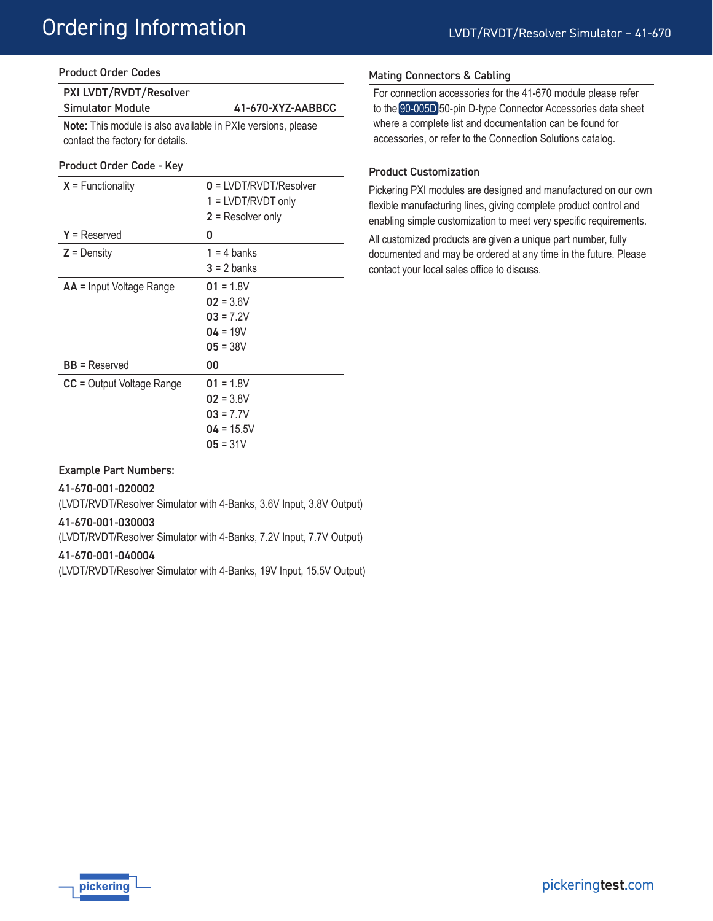# Ordering Information

### Product Order Codes

| PXI LVDT/RVDT/Resolver  |                   |
|-------------------------|-------------------|
| <b>Simulator Module</b> | 41-670-XYZ-AABBCC |
|                         |                   |

**Note:** This module is also available in PXIe versions, please contact the factory for details.

#### Product Order Code - Key

| $X = Functionality$             | $0 = LVDT/RVDT/Resolver$<br>$1 = LVDT/RVDT$ only<br>$2$ = Resolver only |
|---------------------------------|-------------------------------------------------------------------------|
| $Y =$ Reserved                  | 0                                                                       |
| $Z =$ Density                   | $1 = 4$ banks<br>$3 = 2$ banks                                          |
| <b>AA</b> = Input Voltage Range | $01 = 1.8V$<br>$02 = 3.6V$<br>$03 = 7.2V$<br>$04 = 19V$<br>$05 = 38V$   |
| $BB =$ Reserved                 | 00                                                                      |
| $CC = Output$ Voltage Range     | $01 = 1.8V$<br>$02 = 3.8V$<br>$03 = 7.7V$<br>$04 = 15.5V$<br>$05 = 31V$ |

### Mating Connectors & Cabling

For connection accessories for the 41-670 module please refer to the [90-005D](http://www.pickeringtest.com/content/downloads/datasheets/90-005D.pdf) 50-pin D-type Connector Accessories data sheet where a complete list and documentation can be found for accessories, or refer to the Connection Solutions catalog.

## Product Customization

Pickering PXI modules are designed and manufactured on our own flexible manufacturing lines, giving complete product control and enabling simple customization to meet very specific requirements.

All customized products are given a unique part number, fully documented and may be ordered at any time in the future. Please contact your local sales office to discuss.

## Example Part Numbers:

#### 41-670-001-020002

(LVDT/RVDT/Resolver Simulator with 4-Banks, 3.6V Input, 3.8V Output)

#### 41-670-001-030003

(LVDT/RVDT/Resolver Simulator with 4-Banks, 7.2V Input, 7.7V Output)

## 41-670-001-040004

(LVDT/RVDT/Resolver Simulator with 4-Banks, 19V Input, 15.5V Output)

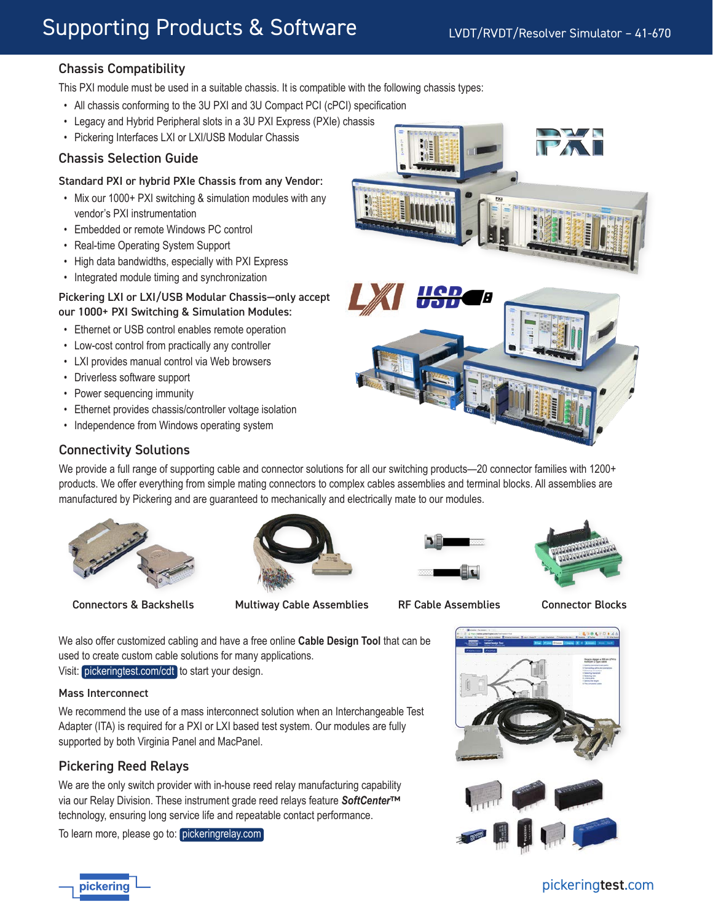# Supporting Products & Software

# Chassis Compatibility

This PXI module must be used in a suitable chassis. It is compatible with the following chassis types:

- All chassis conforming to the 3U PXI and 3U Compact PCI (cPCI) specification
- Legacy and Hybrid Peripheral slots in a 3U PXI Express (PXIe) chassis
- Pickering Interfaces LXI or LXI/USB Modular Chassis

## Chassis Selection Guide

#### Standard PXI or hybrid PXIe Chassis from any Vendor:

- Mix our 1000+ PXI switching & simulation modules with any vendor's PXI instrumentation
- Embedded or remote Windows PC control
- Real-time Operating System Support
- High data bandwidths, especially with PXI Express
- Integrated module timing and synchronization

#### Pickering LXI or LXI/USB Modular Chassis—only accept our 1000+ PXI Switching & Simulation Modules:

- Ethernet or USB control enables remote operation
- Low-cost control from practically any controller
- LXI provides manual control via Web browsers
- Driverless software support
- Power sequencing immunity
- Ethernet provides chassis/controller voltage isolation
- Independence from Windows operating system



## Connectivity Solutions

We provide a full range of supporting cable and connector solutions for all our switching products—20 connector families with 1200+ products. We offer everything from simple mating connectors to complex cables assemblies and terminal blocks. All assemblies are manufactured by Pickering and are guaranteed to mechanically and electrically mate to our modules.



Connectors & Backshells Multiway Cable Assemblies RF Cable Assemblies Connector Blocks







We also offer customized cabling and have a free online **Cable Design Tool** that can be used to create custom cable solutions for many applications.

Visit: [pickeringtest.com/cdt](http://www.pickeringtest.com/cdt) to start your design.

#### Mass Interconnect

pickerinc

We recommend the use of a mass interconnect solution when an Interchangeable Test Adapter (ITA) is required for a PXI or LXI based test system. Our modules are fully supported by both Virginia Panel and MacPanel.

## Pickering Reed Relays

We are the only switch provider with in-house reed relay manufacturing capability via our Relay Division. These instrument grade reed relays feature *SoftCenter*™ technology, ensuring long service life and repeatable contact performance.

To learn more, please go to: [pickeringrelay.com](http://www.pickeringrelay.com)